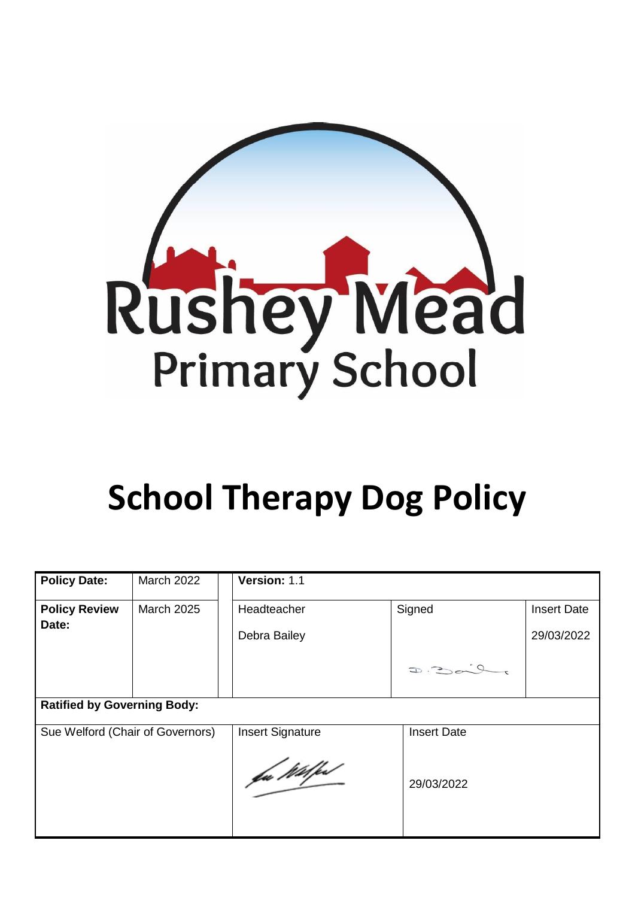

# **School Therapy Dog Policy**

| <b>Policy Date:</b>                | <b>March 2022</b> | Version: 1.1            |                    |                    |
|------------------------------------|-------------------|-------------------------|--------------------|--------------------|
| <b>Policy Review</b>               | <b>March 2025</b> | Headteacher             | Signed             | <b>Insert Date</b> |
| Date:                              |                   | Debra Bailey            |                    | 29/03/2022         |
|                                    |                   |                         | $D = 200$          |                    |
| <b>Ratified by Governing Body:</b> |                   |                         |                    |                    |
| Sue Welford (Chair of Governors)   |                   | <b>Insert Signature</b> | <b>Insert Date</b> |                    |
|                                    |                   | fu Wilfe                | 29/03/2022         |                    |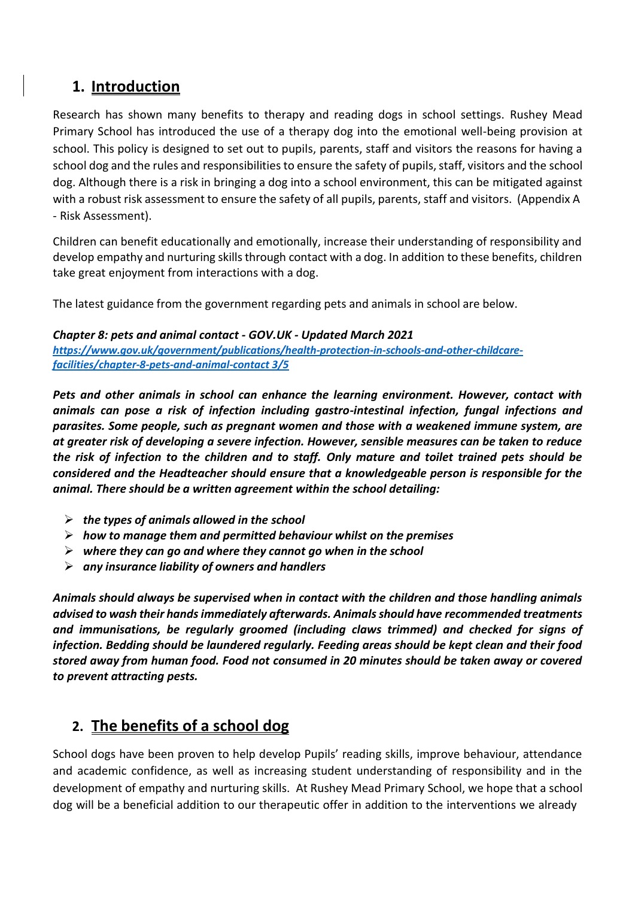## **1. Introduction**

Research has shown many benefits to therapy and reading dogs in school settings. Rushey Mead Primary School has introduced the use of a therapy dog into the emotional well-being provision at school. This policy is designed to set out to pupils, parents, staff and visitors the reasons for having a school dog and the rules and responsibilities to ensure the safety of pupils, staff, visitors and the school dog. Although there is a risk in bringing a dog into a school environment, this can be mitigated against with a robust risk assessment to ensure the safety of all pupils, parents, staff and visitors. (Appendix A - Risk Assessment).

Children can benefit educationally and emotionally, increase their understanding of responsibility and develop empathy and nurturing skillsthrough contact with a dog. In addition to these benefits, children take great enjoyment from interactions with a dog.

The latest guidance from the government regarding pets and animals in school are below.

*Chapter 8: pets and animal contact - GOV.UK - Updated March 2021 [https://www.gov.uk/government/publications/health-protection-in-schools-and-other-childcare](https://www.gov.uk/government/publications/health-protection-in-schools-and-other-childcare-facilities/chapter-8-pets-and-animal-contact%203/5)[facilities/chapter-8-pets-and-animal-contact](https://www.gov.uk/government/publications/health-protection-in-schools-and-other-childcare-facilities/chapter-8-pets-and-animal-contact%203/5) 3/5*

*Pets and other animals in school can enhance the learning environment. However, contact with animals can pose a risk of infection including gastro-intestinal infection, fungal infections and parasites. Some people, such as pregnant women and those with a weakened immune system, are at greater risk of developing a severe infection. However, sensible measures can be taken to reduce the risk of infection to the children and to staff. Only mature and toilet trained pets should be considered and the Headteacher should ensure that a knowledgeable person is responsible for the animal. There should be a written agreement within the school detailing:*

- ➢ *the types of animals allowed in the school*
- ➢ *how to manage them and permitted behaviour whilst on the premises*
- ➢ *where they can go and where they cannot go when in the school*
- ➢ *any insurance liability of owners and handlers*

*Animals should always be supervised when in contact with the children and those handling animals advised to wash their handsimmediately afterwards. Animalsshould have recommended treatments and immunisations, be regularly groomed (including claws trimmed) and checked for signs of infection. Bedding should be laundered regularly. Feeding areas should be kept clean and their food stored away from human food. Food not consumed in 20 minutes should be taken away or covered to prevent attracting pests.*

# **2. The benefits of a school dog**

School dogs have been proven to help develop Pupils' reading skills, improve behaviour, attendance and academic confidence, as well as increasing student understanding of responsibility and in the development of empathy and nurturing skills. At Rushey Mead Primary School, we hope that a school dog will be a beneficial addition to our therapeutic offer in addition to the interventions we already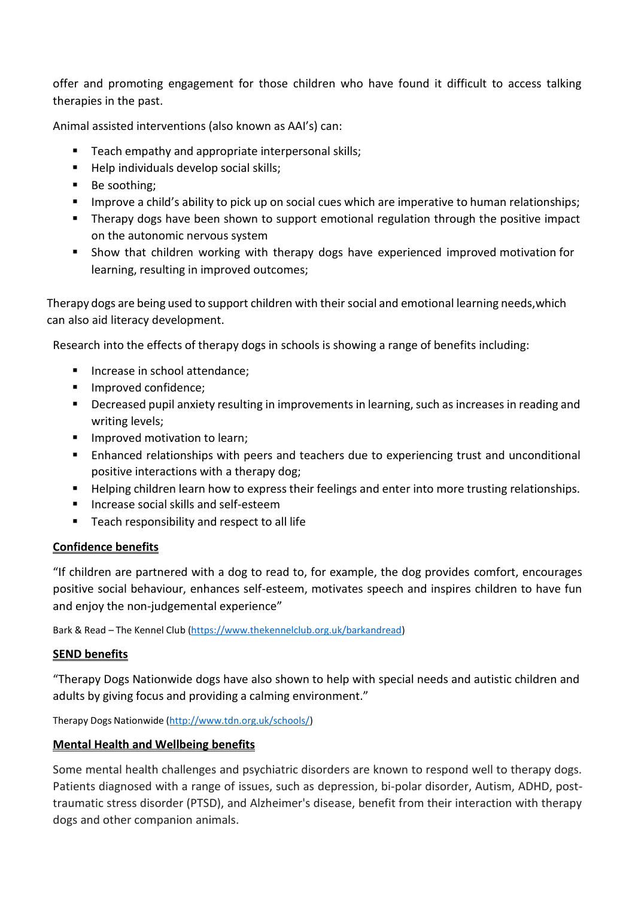offer and promoting engagement for those children who have found it difficult to access talking therapies in the past.

Animal assisted interventions (also known as AAI's) can:

- Teach empathy and appropriate interpersonal skills;
- Help individuals develop social skills;
- Be soothing;
- **■** Improve a child's ability to pick up on social cues which are imperative to human relationships;
- Therapy dogs have been shown to support emotional regulation through the positive impact on the autonomic nervous system
- Show that children working with therapy dogs have experienced improved motivation for learning, resulting in improved outcomes;

Therapy dogs are being used to support children with their social and emotional learning needs,which can also aid literacy development.

Research into the effects of therapy dogs in schools is showing a range of benefits including:

- Increase in school attendance;
- Improved confidence;
- **•** Decreased pupil anxiety resulting in improvements in learning, such as increases in reading and writing levels;
- **■** Improved motivation to learn;
- Enhanced relationships with peers and teachers due to experiencing trust and unconditional positive interactions with a therapy dog;
- Helping children learn how to express their feelings and enter into more trusting relationships.
- Increase social skills and self-esteem
- Teach responsibility and respect to all life

## **Confidence benefits**

"If children are partnered with a dog to read to, for example, the dog provides comfort, encourages positive social behaviour, enhances self-esteem, motivates speech and inspires children to have fun and enjoy the non-judgemental experience"

Bark & Read – The Kennel Club [\(https://www.thekennelclub.org.uk/barkandread\)](https://www.thekennelclub.org.uk/barkandread)

## **SEND benefits**

"Therapy Dogs Nationwide dogs have also shown to help with special needs and autistic children and adults by giving focus and providing a calming environment."

Therapy Dogs Nationwide [\(http://www.tdn.org.uk/schools/\)](http://www.tdn.org.uk/schools/)

## **Mental Health and Wellbeing benefits**

Some mental health challenges and psychiatric disorders are known to respond well to therapy dogs. Patients diagnosed with a range of issues, such as depression, bi-polar disorder, Autism, ADHD, posttraumatic stress disorder (PTSD), and Alzheimer's disease, benefit from their interaction with therapy dogs and other companion animals.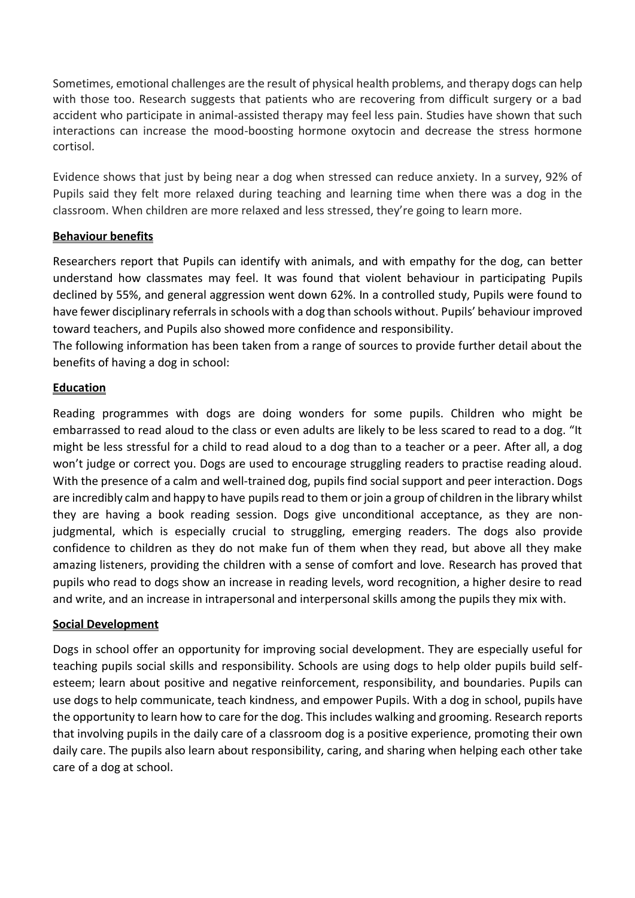Sometimes, emotional challenges are the result of physical health problems, and therapy dogs can help with those too. Research suggests that patients who are recovering from difficult surgery or a bad accident who participate in animal-assisted therapy may feel less pain. Studies have shown that such interactions can increase the mood-boosting hormone oxytocin and decrease the stress hormone cortisol.

Evidence shows that just by being near a dog when stressed can reduce anxiety. In a survey, 92% of Pupils said they felt more relaxed during teaching and learning time when there was a dog in the classroom. When children are more relaxed and less stressed, they're going to learn more.

## **Behaviour benefits**

Researchers report that Pupils can identify with animals, and with empathy for the dog, can better understand how classmates may feel. It was found that violent behaviour in participating Pupils declined by 55%, and general aggression went down 62%. In a controlled study, Pupils were found to have fewer disciplinary referrals in schools with a dog than schools without. Pupils' behaviour improved toward teachers, and Pupils also showed more confidence and responsibility.

The following information has been taken from a range of sources to provide further detail about the benefits of having a dog in school:

#### **Education**

Reading programmes with dogs are doing wonders for some pupils. Children who might be embarrassed to read aloud to the class or even adults are likely to be less scared to read to a dog. "It might be less stressful for a child to read aloud to a dog than to a teacher or a peer. After all, a dog won't judge or correct you. Dogs are used to encourage struggling readers to practise reading aloud. With the presence of a calm and well-trained dog, pupils find social support and peer interaction. Dogs are incredibly calm and happy to have pupils read to them or join a group of children in the library whilst they are having a book reading session. Dogs give unconditional acceptance, as they are nonjudgmental, which is especially crucial to struggling, emerging readers. The dogs also provide confidence to children as they do not make fun of them when they read, but above all they make amazing listeners, providing the children with a sense of comfort and love. Research has proved that pupils who read to dogs show an increase in reading levels, word recognition, a higher desire to read and write, and an increase in intrapersonal and interpersonal skills among the pupils they mix with.

## **Social Development**

Dogs in school offer an opportunity for improving social development. They are especially useful for teaching pupils social skills and responsibility. Schools are using dogs to help older pupils build selfesteem; learn about positive and negative reinforcement, responsibility, and boundaries. Pupils can use dogs to help communicate, teach kindness, and empower Pupils. With a dog in school, pupils have the opportunity to learn how to care for the dog. This includes walking and grooming. Research reports that involving pupils in the daily care of a classroom dog is a positive experience, promoting their own daily care. The pupils also learn about responsibility, caring, and sharing when helping each other take care of a dog at school.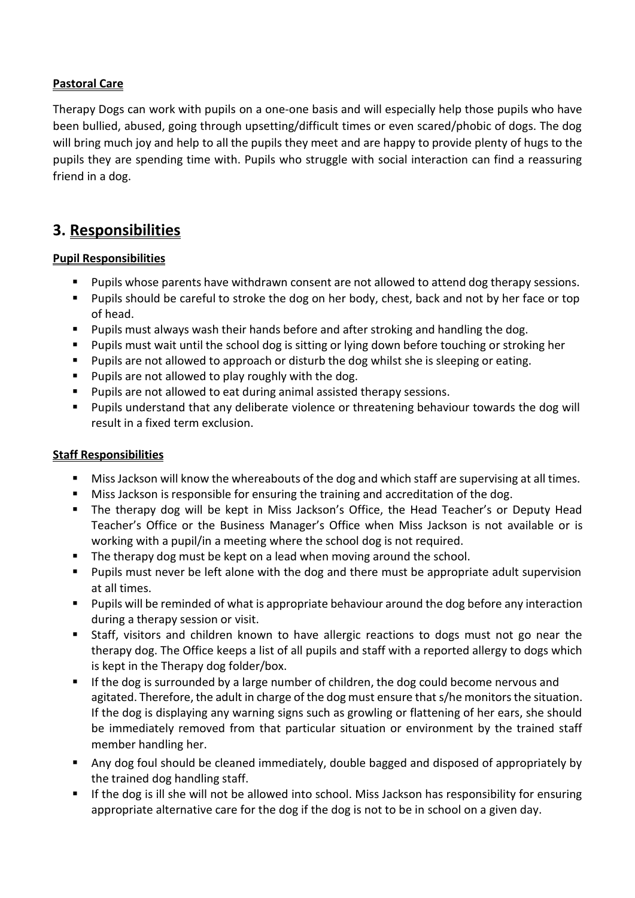## **Pastoral Care**

Therapy Dogs can work with pupils on a one-one basis and will especially help those pupils who have been bullied, abused, going through upsetting/difficult times or even scared/phobic of dogs. The dog will bring much joy and help to all the pupils they meet and are happy to provide plenty of hugs to the pupils they are spending time with. Pupils who struggle with social interaction can find a reassuring friend in a dog.

## **3. Responsibilities**

## **Pupil Responsibilities**

- Pupils whose parents have withdrawn consent are not allowed to attend dog therapy sessions.
- Pupils should be careful to stroke the dog on her body, chest, back and not by her face or top of head.
- Pupils must always wash their hands before and after stroking and handling the dog.
- Pupils must wait until the school dog is sitting or lying down before touching or stroking her
- Pupils are not allowed to approach or disturb the dog whilst she is sleeping or eating.
- Pupils are not allowed to play roughly with the dog.
- Pupils are not allowed to eat during animal assisted therapy sessions.
- Pupils understand that any deliberate violence or threatening behaviour towards the dog will result in a fixed term exclusion.

## **Staff Responsibilities**

- Miss Jackson will know the whereabouts of the dog and which staff are supervising at all times.
- Miss Jackson is responsible for ensuring the training and accreditation of the dog.
- The therapy dog will be kept in Miss Jackson's Office, the Head Teacher's or Deputy Head Teacher's Office or the Business Manager's Office when Miss Jackson is not available or is working with a pupil/in a meeting where the school dog is not required.
- The therapy dog must be kept on a lead when moving around the school.
- Pupils must never be left alone with the dog and there must be appropriate adult supervision at all times.
- Pupils will be reminded of what is appropriate behaviour around the dog before any interaction during a therapy session or visit.
- Staff, visitors and children known to have allergic reactions to dogs must not go near the therapy dog. The Office keeps a list of all pupils and staff with a reported allergy to dogs which is kept in the Therapy dog folder/box.
- **E** If the dog is surrounded by a large number of children, the dog could become nervous and agitated. Therefore, the adult in charge of the dog must ensure that s/he monitors the situation. If the dog is displaying any warning signs such as growling or flattening of her ears, she should be immediately removed from that particular situation or environment by the trained staff member handling her.
- Any dog foul should be cleaned immediately, double bagged and disposed of appropriately by the trained dog handling staff.
- If the dog is ill she will not be allowed into school. Miss Jackson has responsibility for ensuring appropriate alternative care for the dog if the dog is not to be in school on a given day.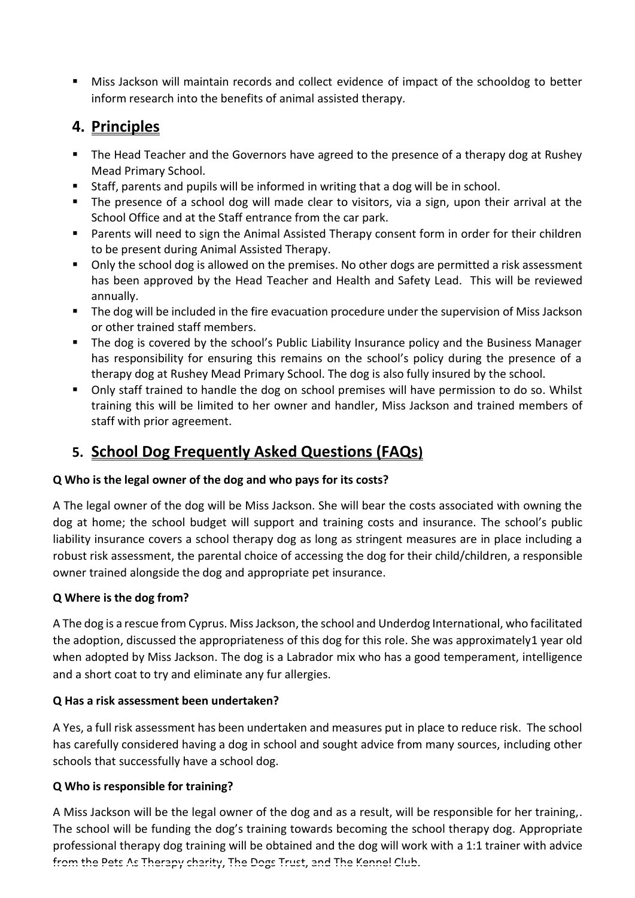■ Miss Jackson will maintain records and collect evidence of impact of the schooldog to better inform research into the benefits of animal assisted therapy.

# **4. Principles**

- The Head Teacher and the Governors have agreed to the presence of a therapy dog at Rushey Mead Primary School.
- Staff, parents and pupils will be informed in writing that a dog will be in school.
- The presence of a school dog will made clear to visitors, via a sign, upon their arrival at the School Office and at the Staff entrance from the car park.
- Parents will need to sign the Animal Assisted Therapy consent form in order for their children to be present during Animal Assisted Therapy.
- Only the school dog is allowed on the premises. No other dogs are permitted a risk assessment has been approved by the Head Teacher and Health and Safety Lead. This will be reviewed annually.
- The dog will be included in the fire evacuation procedure under the supervision of Miss Jackson or other trained staff members.
- The dog is covered by the school's Public Liability Insurance policy and the Business Manager has responsibility for ensuring this remains on the school's policy during the presence of a therapy dog at Rushey Mead Primary School. The dog is also fully insured by the school.
- Only staff trained to handle the dog on school premises will have permission to do so. Whilst training this will be limited to her owner and handler, Miss Jackson and trained members of staff with prior agreement.

# **5. School Dog Frequently Asked Questions (FAQs)**

## **Q Who is the legal owner of the dog and who pays for its costs?**

A The legal owner of the dog will be Miss Jackson. She will bear the costs associated with owning the dog at home; the school budget will support and training costs and insurance. The school's public liability insurance covers a school therapy dog as long as stringent measures are in place including a robust risk assessment, the parental choice of accessing the dog for their child/children, a responsible owner trained alongside the dog and appropriate pet insurance.

## **Q Where is the dog from?**

A The dog is a rescue from Cyprus. Miss Jackson, the school and Underdog International, who facilitated the adoption, discussed the appropriateness of this dog for this role. She was approximately1 year old when adopted by Miss Jackson. The dog is a Labrador mix who has a good temperament, intelligence and a short coat to try and eliminate any fur allergies.

## **Q Has a risk assessment been undertaken?**

A Yes, a full risk assessment has been undertaken and measures put in place to reduce risk. The school has carefully considered having a dog in school and sought advice from many sources, including other schools that successfully have a school dog.

## **Q Who is responsible for training?**

A Miss Jackson will be the legal owner of the dog and as a result, will be responsible for her training,. The school will be funding the dog's training towards becoming the school therapy dog. Appropriate professional therapy dog training will be obtained and the dog will work with a 1:1 trainer with advice from the Pets As Therapy charity, The Dogs Trust, and The Kennel Club.